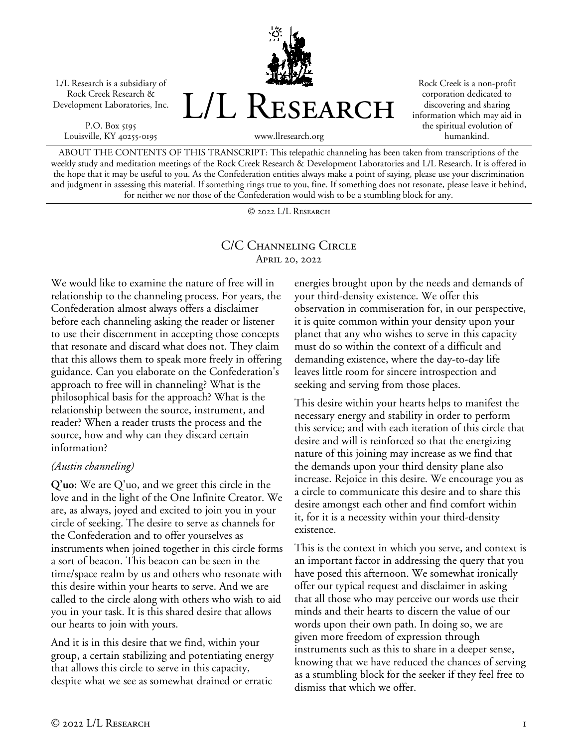L/L Research is a subsidiary of Rock Creek Research & Development Laboratories, Inc.

P.O. Box 5195 Louisville, KY 40255-0195



Rock Creek is a non-profit corporation dedicated to discovering and sharing information which may aid in the spiritual evolution of humankind.

ABOUT THE CONTENTS OF THIS TRANSCRIPT: This telepathic channeling has been taken from transcriptions of the weekly study and meditation meetings of the Rock Creek Research & Development Laboratories and L/L Research. It is offered in the hope that it may be useful to you. As the Confederation entities always make a point of saying, please use your discrimination and judgment in assessing this material. If something rings true to you, fine. If something does not resonate, please leave it behind, for neither we nor those of the Confederation would wish to be a stumbling block for any.

© 2022 L/L Research

## C/C Channeling Circle April 20, 2022

We would like to examine the nature of free will in relationship to the channeling process. For years, the Confederation almost always offers a disclaimer before each channeling asking the reader or listener to use their discernment in accepting those concepts that resonate and discard what does not. They claim that this allows them to speak more freely in offering guidance. Can you elaborate on the Confederation's approach to free will in channeling? What is the philosophical basis for the approach? What is the relationship between the source, instrument, and reader? When a reader trusts the process and the source, how and why can they discard certain information?

## *(Austin channeling)*

**Q'uo:** We are Q'uo, and we greet this circle in the love and in the light of the One Infinite Creator. We are, as always, joyed and excited to join you in your circle of seeking. The desire to serve as channels for the Confederation and to offer yourselves as instruments when joined together in this circle forms a sort of beacon. This beacon can be seen in the time/space realm by us and others who resonate with this desire within your hearts to serve. And we are called to the circle along with others who wish to aid you in your task. It is this shared desire that allows our hearts to join with yours.

And it is in this desire that we find, within your group, a certain stabilizing and potentiating energy that allows this circle to serve in this capacity, despite what we see as somewhat drained or erratic

energies brought upon by the needs and demands of your third-density existence. We offer this observation in commiseration for, in our perspective, it is quite common within your density upon your planet that any who wishes to serve in this capacity must do so within the context of a difficult and demanding existence, where the day-to-day life leaves little room for sincere introspection and seeking and serving from those places.

This desire within your hearts helps to manifest the necessary energy and stability in order to perform this service; and with each iteration of this circle that desire and will is reinforced so that the energizing nature of this joining may increase as we find that the demands upon your third density plane also increase. Rejoice in this desire. We encourage you as a circle to communicate this desire and to share this desire amongst each other and find comfort within it, for it is a necessity within your third-density existence.

This is the context in which you serve, and context is an important factor in addressing the query that you have posed this afternoon. We somewhat ironically offer our typical request and disclaimer in asking that all those who may perceive our words use their minds and their hearts to discern the value of our words upon their own path. In doing so, we are given more freedom of expression through instruments such as this to share in a deeper sense, knowing that we have reduced the chances of serving as a stumbling block for the seeker if they feel free to dismiss that which we offer.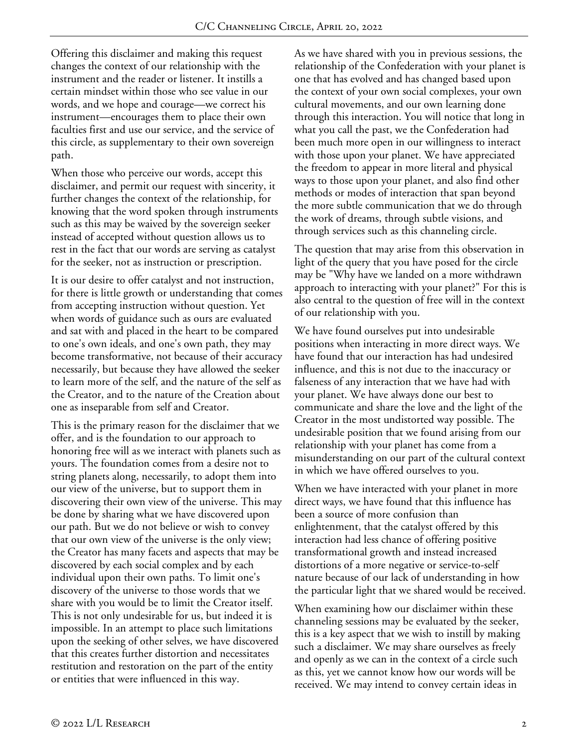Offering this disclaimer and making this request changes the context of our relationship with the instrument and the reader or listener. It instills a certain mindset within those who see value in our words, and we hope and courage—we correct his instrument—encourages them to place their own faculties first and use our service, and the service of this circle, as supplementary to their own sovereign path.

When those who perceive our words, accept this disclaimer, and permit our request with sincerity, it further changes the context of the relationship, for knowing that the word spoken through instruments such as this may be waived by the sovereign seeker instead of accepted without question allows us to rest in the fact that our words are serving as catalyst for the seeker, not as instruction or prescription.

It is our desire to offer catalyst and not instruction, for there is little growth or understanding that comes from accepting instruction without question. Yet when words of guidance such as ours are evaluated and sat with and placed in the heart to be compared to one's own ideals, and one's own path, they may become transformative, not because of their accuracy necessarily, but because they have allowed the seeker to learn more of the self, and the nature of the self as the Creator, and to the nature of the Creation about one as inseparable from self and Creator.

This is the primary reason for the disclaimer that we offer, and is the foundation to our approach to honoring free will as we interact with planets such as yours. The foundation comes from a desire not to string planets along, necessarily, to adopt them into our view of the universe, but to support them in discovering their own view of the universe. This may be done by sharing what we have discovered upon our path. But we do not believe or wish to convey that our own view of the universe is the only view; the Creator has many facets and aspects that may be discovered by each social complex and by each individual upon their own paths. To limit one's discovery of the universe to those words that we share with you would be to limit the Creator itself. This is not only undesirable for us, but indeed it is impossible. In an attempt to place such limitations upon the seeking of other selves, we have discovered that this creates further distortion and necessitates restitution and restoration on the part of the entity or entities that were influenced in this way.

As we have shared with you in previous sessions, the relationship of the Confederation with your planet is one that has evolved and has changed based upon the context of your own social complexes, your own cultural movements, and our own learning done through this interaction. You will notice that long in what you call the past, we the Confederation had been much more open in our willingness to interact with those upon your planet. We have appreciated the freedom to appear in more literal and physical ways to those upon your planet, and also find other methods or modes of interaction that span beyond the more subtle communication that we do through the work of dreams, through subtle visions, and through services such as this channeling circle.

The question that may arise from this observation in light of the query that you have posed for the circle may be "Why have we landed on a more withdrawn approach to interacting with your planet?" For this is also central to the question of free will in the context of our relationship with you.

We have found ourselves put into undesirable positions when interacting in more direct ways. We have found that our interaction has had undesired influence, and this is not due to the inaccuracy or falseness of any interaction that we have had with your planet. We have always done our best to communicate and share the love and the light of the Creator in the most undistorted way possible. The undesirable position that we found arising from our relationship with your planet has come from a misunderstanding on our part of the cultural context in which we have offered ourselves to you.

When we have interacted with your planet in more direct ways, we have found that this influence has been a source of more confusion than enlightenment, that the catalyst offered by this interaction had less chance of offering positive transformational growth and instead increased distortions of a more negative or service-to-self nature because of our lack of understanding in how the particular light that we shared would be received.

When examining how our disclaimer within these channeling sessions may be evaluated by the seeker, this is a key aspect that we wish to instill by making such a disclaimer. We may share ourselves as freely and openly as we can in the context of a circle such as this, yet we cannot know how our words will be received. We may intend to convey certain ideas in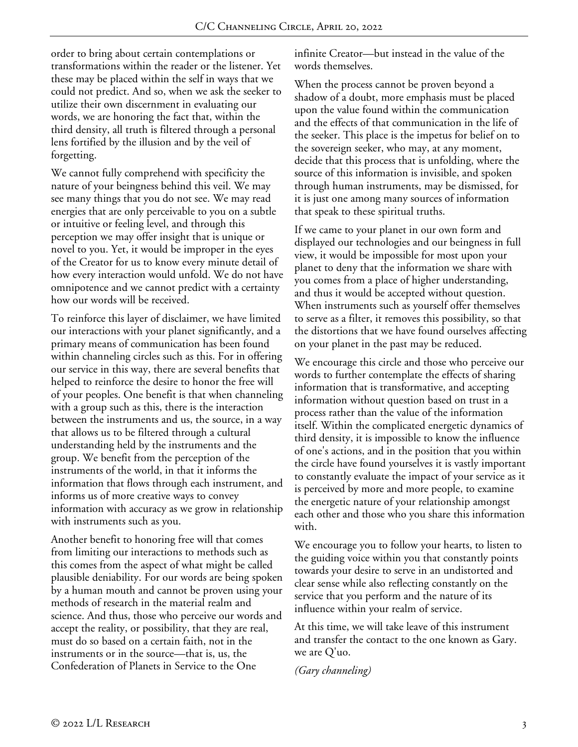order to bring about certain contemplations or transformations within the reader or the listener. Yet these may be placed within the self in ways that we could not predict. And so, when we ask the seeker to utilize their own discernment in evaluating our words, we are honoring the fact that, within the third density, all truth is filtered through a personal lens fortified by the illusion and by the veil of forgetting.

We cannot fully comprehend with specificity the nature of your beingness behind this veil. We may see many things that you do not see. We may read energies that are only perceivable to you on a subtle or intuitive or feeling level, and through this perception we may offer insight that is unique or novel to you. Yet, it would be improper in the eyes of the Creator for us to know every minute detail of how every interaction would unfold. We do not have omnipotence and we cannot predict with a certainty how our words will be received.

To reinforce this layer of disclaimer, we have limited our interactions with your planet significantly, and a primary means of communication has been found within channeling circles such as this. For in offering our service in this way, there are several benefits that helped to reinforce the desire to honor the free will of your peoples. One benefit is that when channeling with a group such as this, there is the interaction between the instruments and us, the source, in a way that allows us to be filtered through a cultural understanding held by the instruments and the group. We benefit from the perception of the instruments of the world, in that it informs the information that flows through each instrument, and informs us of more creative ways to convey information with accuracy as we grow in relationship with instruments such as you.

Another benefit to honoring free will that comes from limiting our interactions to methods such as this comes from the aspect of what might be called plausible deniability. For our words are being spoken by a human mouth and cannot be proven using your methods of research in the material realm and science. And thus, those who perceive our words and accept the reality, or possibility, that they are real, must do so based on a certain faith, not in the instruments or in the source—that is, us, the Confederation of Planets in Service to the One

infinite Creator—but instead in the value of the words themselves.

When the process cannot be proven beyond a shadow of a doubt, more emphasis must be placed upon the value found within the communication and the effects of that communication in the life of the seeker. This place is the impetus for belief on to the sovereign seeker, who may, at any moment, decide that this process that is unfolding, where the source of this information is invisible, and spoken through human instruments, may be dismissed, for it is just one among many sources of information that speak to these spiritual truths.

If we came to your planet in our own form and displayed our technologies and our beingness in full view, it would be impossible for most upon your planet to deny that the information we share with you comes from a place of higher understanding, and thus it would be accepted without question. When instruments such as yourself offer themselves to serve as a filter, it removes this possibility, so that the distortions that we have found ourselves affecting on your planet in the past may be reduced.

We encourage this circle and those who perceive our words to further contemplate the effects of sharing information that is transformative, and accepting information without question based on trust in a process rather than the value of the information itself. Within the complicated energetic dynamics of third density, it is impossible to know the influence of one's actions, and in the position that you within the circle have found yourselves it is vastly important to constantly evaluate the impact of your service as it is perceived by more and more people, to examine the energetic nature of your relationship amongst each other and those who you share this information with.

We encourage you to follow your hearts, to listen to the guiding voice within you that constantly points towards your desire to serve in an undistorted and clear sense while also reflecting constantly on the service that you perform and the nature of its influence within your realm of service.

At this time, we will take leave of this instrument and transfer the contact to the one known as Gary. we are Q'uo.

*(Gary channeling)*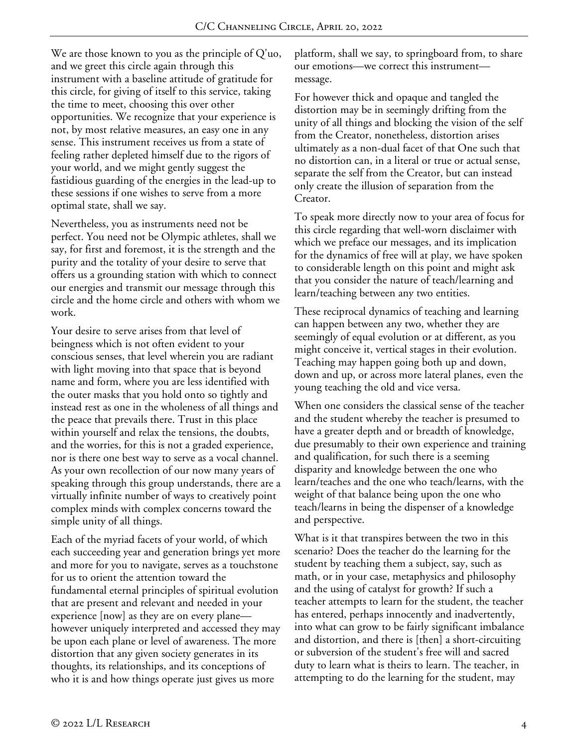We are those known to you as the principle of Q'uo, and we greet this circle again through this instrument with a baseline attitude of gratitude for this circle, for giving of itself to this service, taking the time to meet, choosing this over other opportunities. We recognize that your experience is not, by most relative measures, an easy one in any sense. This instrument receives us from a state of feeling rather depleted himself due to the rigors of your world, and we might gently suggest the fastidious guarding of the energies in the lead-up to these sessions if one wishes to serve from a more optimal state, shall we say.

Nevertheless, you as instruments need not be perfect. You need not be Olympic athletes, shall we say, for first and foremost, it is the strength and the purity and the totality of your desire to serve that offers us a grounding station with which to connect our energies and transmit our message through this circle and the home circle and others with whom we work.

Your desire to serve arises from that level of beingness which is not often evident to your conscious senses, that level wherein you are radiant with light moving into that space that is beyond name and form, where you are less identified with the outer masks that you hold onto so tightly and instead rest as one in the wholeness of all things and the peace that prevails there. Trust in this place within yourself and relax the tensions, the doubts, and the worries, for this is not a graded experience, nor is there one best way to serve as a vocal channel. As your own recollection of our now many years of speaking through this group understands, there are a virtually infinite number of ways to creatively point complex minds with complex concerns toward the simple unity of all things.

Each of the myriad facets of your world, of which each succeeding year and generation brings yet more and more for you to navigate, serves as a touchstone for us to orient the attention toward the fundamental eternal principles of spiritual evolution that are present and relevant and needed in your experience [now] as they are on every plane however uniquely interpreted and accessed they may be upon each plane or level of awareness. The more distortion that any given society generates in its thoughts, its relationships, and its conceptions of who it is and how things operate just gives us more

platform, shall we say, to springboard from, to share our emotions—we correct this instrument message.

For however thick and opaque and tangled the distortion may be in seemingly drifting from the unity of all things and blocking the vision of the self from the Creator, nonetheless, distortion arises ultimately as a non-dual facet of that One such that no distortion can, in a literal or true or actual sense, separate the self from the Creator, but can instead only create the illusion of separation from the Creator.

To speak more directly now to your area of focus for this circle regarding that well-worn disclaimer with which we preface our messages, and its implication for the dynamics of free will at play, we have spoken to considerable length on this point and might ask that you consider the nature of teach/learning and learn/teaching between any two entities.

These reciprocal dynamics of teaching and learning can happen between any two, whether they are seemingly of equal evolution or at different, as you might conceive it, vertical stages in their evolution. Teaching may happen going both up and down, down and up, or across more lateral planes, even the young teaching the old and vice versa.

When one considers the classical sense of the teacher and the student whereby the teacher is presumed to have a greater depth and or breadth of knowledge, due presumably to their own experience and training and qualification, for such there is a seeming disparity and knowledge between the one who learn/teaches and the one who teach/learns, with the weight of that balance being upon the one who teach/learns in being the dispenser of a knowledge and perspective.

What is it that transpires between the two in this scenario? Does the teacher do the learning for the student by teaching them a subject, say, such as math, or in your case, metaphysics and philosophy and the using of catalyst for growth? If such a teacher attempts to learn for the student, the teacher has entered, perhaps innocently and inadvertently, into what can grow to be fairly significant imbalance and distortion, and there is [then] a short-circuiting or subversion of the student's free will and sacred duty to learn what is theirs to learn. The teacher, in attempting to do the learning for the student, may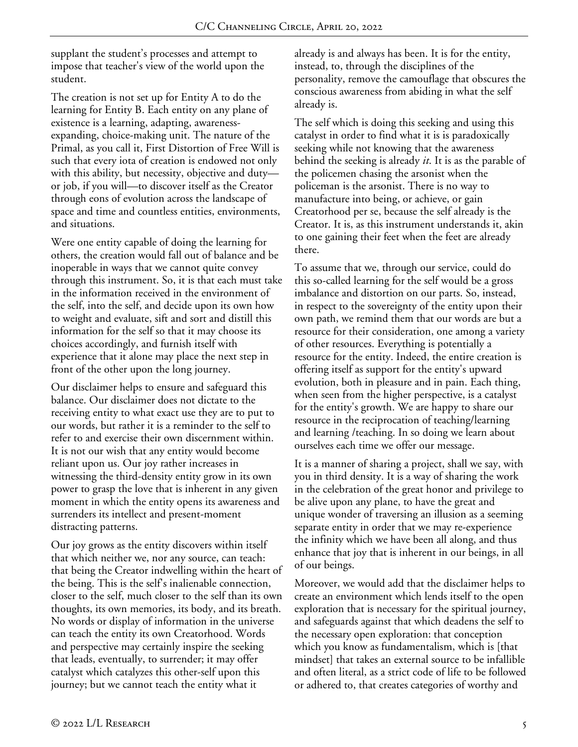supplant the student's processes and attempt to impose that teacher's view of the world upon the student.

The creation is not set up for Entity A to do the learning for Entity B. Each entity on any plane of existence is a learning, adapting, awarenessexpanding, choice-making unit. The nature of the Primal, as you call it, First Distortion of Free Will is such that every iota of creation is endowed not only with this ability, but necessity, objective and duty or job, if you will—to discover itself as the Creator through eons of evolution across the landscape of space and time and countless entities, environments, and situations.

Were one entity capable of doing the learning for others, the creation would fall out of balance and be inoperable in ways that we cannot quite convey through this instrument. So, it is that each must take in the information received in the environment of the self, into the self, and decide upon its own how to weight and evaluate, sift and sort and distill this information for the self so that it may choose its choices accordingly, and furnish itself with experience that it alone may place the next step in front of the other upon the long journey.

Our disclaimer helps to ensure and safeguard this balance. Our disclaimer does not dictate to the receiving entity to what exact use they are to put to our words, but rather it is a reminder to the self to refer to and exercise their own discernment within. It is not our wish that any entity would become reliant upon us. Our joy rather increases in witnessing the third-density entity grow in its own power to grasp the love that is inherent in any given moment in which the entity opens its awareness and surrenders its intellect and present-moment distracting patterns.

Our joy grows as the entity discovers within itself that which neither we, nor any source, can teach: that being the Creator indwelling within the heart of the being. This is the self's inalienable connection, closer to the self, much closer to the self than its own thoughts, its own memories, its body, and its breath. No words or display of information in the universe can teach the entity its own Creatorhood. Words and perspective may certainly inspire the seeking that leads, eventually, to surrender; it may offer catalyst which catalyzes this other-self upon this journey; but we cannot teach the entity what it

already is and always has been. It is for the entity, instead, to, through the disciplines of the personality, remove the camouflage that obscures the conscious awareness from abiding in what the self already is.

The self which is doing this seeking and using this catalyst in order to find what it is is paradoxically seeking while not knowing that the awareness behind the seeking is already *it*. It is as the parable of the policemen chasing the arsonist when the policeman is the arsonist. There is no way to manufacture into being, or achieve, or gain Creatorhood per se, because the self already is the Creator. It is, as this instrument understands it, akin to one gaining their feet when the feet are already there.

To assume that we, through our service, could do this so-called learning for the self would be a gross imbalance and distortion on our parts. So, instead, in respect to the sovereignty of the entity upon their own path, we remind them that our words are but a resource for their consideration, one among a variety of other resources. Everything is potentially a resource for the entity. Indeed, the entire creation is offering itself as support for the entity's upward evolution, both in pleasure and in pain. Each thing, when seen from the higher perspective, is a catalyst for the entity's growth. We are happy to share our resource in the reciprocation of teaching/learning and learning /teaching. In so doing we learn about ourselves each time we offer our message.

It is a manner of sharing a project, shall we say, with you in third density. It is a way of sharing the work in the celebration of the great honor and privilege to be alive upon any plane, to have the great and unique wonder of traversing an illusion as a seeming separate entity in order that we may re-experience the infinity which we have been all along, and thus enhance that joy that is inherent in our beings, in all of our beings.

Moreover, we would add that the disclaimer helps to create an environment which lends itself to the open exploration that is necessary for the spiritual journey, and safeguards against that which deadens the self to the necessary open exploration: that conception which you know as fundamentalism, which is [that mindset] that takes an external source to be infallible and often literal, as a strict code of life to be followed or adhered to, that creates categories of worthy and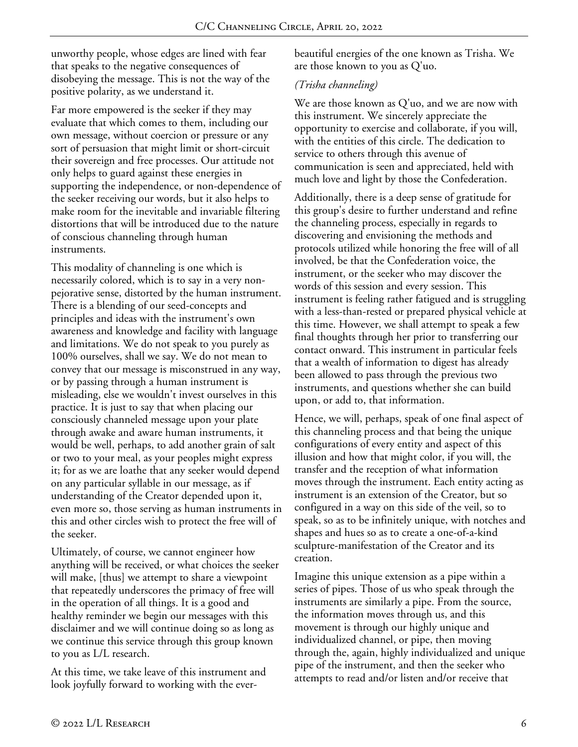unworthy people, whose edges are lined with fear that speaks to the negative consequences of disobeying the message. This is not the way of the positive polarity, as we understand it.

Far more empowered is the seeker if they may evaluate that which comes to them, including our own message, without coercion or pressure or any sort of persuasion that might limit or short-circuit their sovereign and free processes. Our attitude not only helps to guard against these energies in supporting the independence, or non-dependence of the seeker receiving our words, but it also helps to make room for the inevitable and invariable filtering distortions that will be introduced due to the nature of conscious channeling through human instruments.

This modality of channeling is one which is necessarily colored, which is to say in a very nonpejorative sense, distorted by the human instrument. There is a blending of our seed-concepts and principles and ideas with the instrument's own awareness and knowledge and facility with language and limitations. We do not speak to you purely as 100% ourselves, shall we say. We do not mean to convey that our message is misconstrued in any way, or by passing through a human instrument is misleading, else we wouldn't invest ourselves in this practice. It is just to say that when placing our consciously channeled message upon your plate through awake and aware human instruments, it would be well, perhaps, to add another grain of salt or two to your meal, as your peoples might express it; for as we are loathe that any seeker would depend on any particular syllable in our message, as if understanding of the Creator depended upon it, even more so, those serving as human instruments in this and other circles wish to protect the free will of the seeker.

Ultimately, of course, we cannot engineer how anything will be received, or what choices the seeker will make, [thus] we attempt to share a viewpoint that repeatedly underscores the primacy of free will in the operation of all things. It is a good and healthy reminder we begin our messages with this disclaimer and we will continue doing so as long as we continue this service through this group known to you as L/L research.

At this time, we take leave of this instrument and look joyfully forward to working with the everbeautiful energies of the one known as Trisha. We are those known to you as Q'uo.

## *(Trisha channeling)*

We are those known as Q'uo, and we are now with this instrument. We sincerely appreciate the opportunity to exercise and collaborate, if you will, with the entities of this circle. The dedication to service to others through this avenue of communication is seen and appreciated, held with much love and light by those the Confederation.

Additionally, there is a deep sense of gratitude for this group's desire to further understand and refine the channeling process, especially in regards to discovering and envisioning the methods and protocols utilized while honoring the free will of all involved, be that the Confederation voice, the instrument, or the seeker who may discover the words of this session and every session. This instrument is feeling rather fatigued and is struggling with a less-than-rested or prepared physical vehicle at this time. However, we shall attempt to speak a few final thoughts through her prior to transferring our contact onward. This instrument in particular feels that a wealth of information to digest has already been allowed to pass through the previous two instruments, and questions whether she can build upon, or add to, that information.

Hence, we will, perhaps, speak of one final aspect of this channeling process and that being the unique configurations of every entity and aspect of this illusion and how that might color, if you will, the transfer and the reception of what information moves through the instrument. Each entity acting as instrument is an extension of the Creator, but so configured in a way on this side of the veil, so to speak, so as to be infinitely unique, with notches and shapes and hues so as to create a one-of-a-kind sculpture-manifestation of the Creator and its creation.

Imagine this unique extension as a pipe within a series of pipes. Those of us who speak through the instruments are similarly a pipe. From the source, the information moves through us, and this movement is through our highly unique and individualized channel, or pipe, then moving through the, again, highly individualized and unique pipe of the instrument, and then the seeker who attempts to read and/or listen and/or receive that